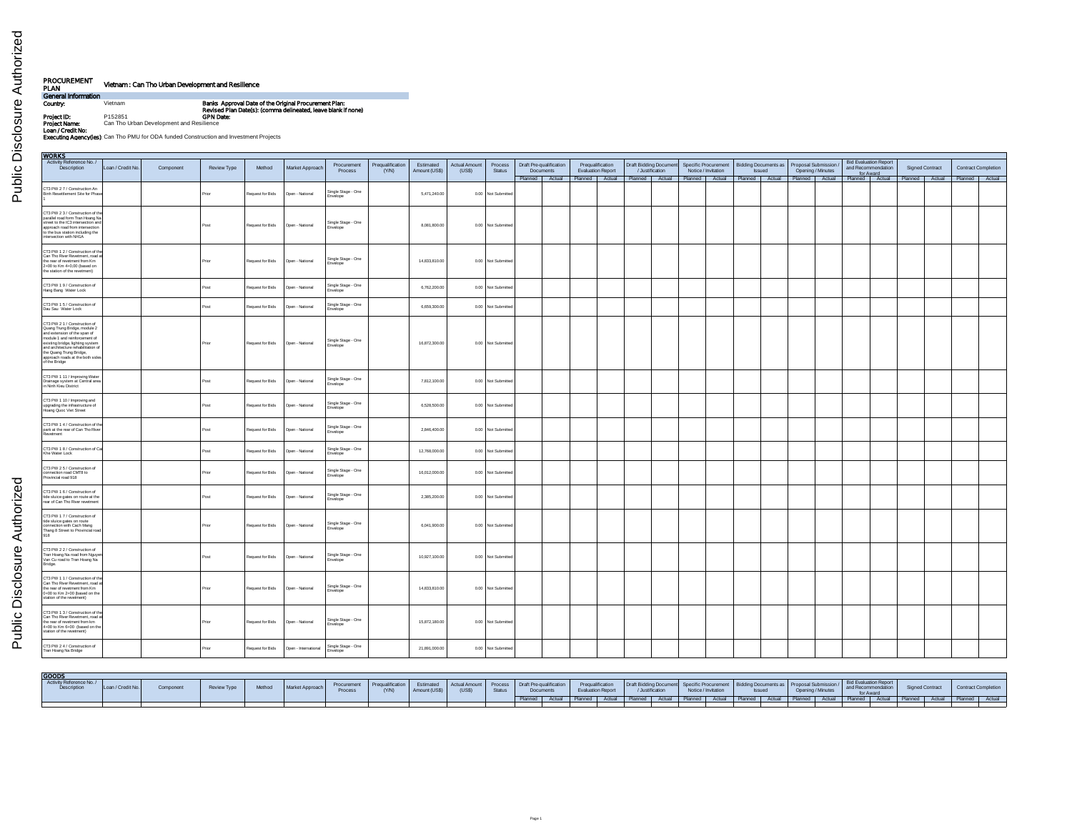| PROCUREMENT<br>PLAN                | Vietnam : Can Tho Urban Development and Resilience |                                                                                                                        |
|------------------------------------|----------------------------------------------------|------------------------------------------------------------------------------------------------------------------------|
| General Information                |                                                    |                                                                                                                        |
| Country:                           | Vietnam                                            | Banks Approval Date of the Original Procurement Plan:<br>Revised Plan Date(s): (comma delineated, leave blank if none) |
| Project ID:                        | P152851                                            | <b>GPN Date:</b>                                                                                                       |
| Project Name:<br>Loan / Credit No: | Can Tho Urban Development and Resilience           |                                                                                                                        |
|                                    |                                                    | Executing Agencylies): Can Tho PMU for ODA funded Construction and Investment Projects                                 |

Public Disclosure Authorized Public Disclosure Authorized

| <b>WORKS</b>                                                                                                                                                                                                                                                                            |                   |           |                    |                  |                      |                                |                           |                            |                        |                    |                                      |                                              |                                                                |  |                     |               |                                              |                   |                                                                 |                 |  |                                                                                                                                                                                       |
|-----------------------------------------------------------------------------------------------------------------------------------------------------------------------------------------------------------------------------------------------------------------------------------------|-------------------|-----------|--------------------|------------------|----------------------|--------------------------------|---------------------------|----------------------------|------------------------|--------------------|--------------------------------------|----------------------------------------------|----------------------------------------------------------------|--|---------------------|---------------|----------------------------------------------|-------------------|-----------------------------------------------------------------|-----------------|--|---------------------------------------------------------------------------------------------------------------------------------------------------------------------------------------|
| Activity Reference No./<br>Description                                                                                                                                                                                                                                                  | Loan / Credit No. | Component | <b>Review Type</b> | Method           | Market Approach      | Procurement<br>Process         | Prequalification<br>(Y/N) | Estimated<br>Amount (US\$) | Actual Amount<br>(USS) | Process<br>Status  | Draft Pre-qualification<br>Documents | Prequalification<br><b>Evaluation Report</b> | Draft Bidding Document Specific Procurement<br>/ Justification |  | Notice / Invitation | <b>Issued</b> | Bidding Documents as   Proposal Submission / | Opening / Minutes | <b>Bid Evaluation Report</b><br>and Recommendation<br>for Award | Signed Contract |  | <b>Contract Completion</b>                                                                                                                                                            |
|                                                                                                                                                                                                                                                                                         |                   |           |                    |                  |                      |                                |                           |                            |                        |                    |                                      |                                              |                                                                |  |                     |               |                                              |                   |                                                                 |                 |  | Planned   Actual Planned   Actual Planned   Actual Planned   Actual   Planned   Actual   Planned   Actual   Planned   Actual   Planned   Actual   Planned   Actual   Planned   Actual |
| CT3 PW 2 7 / Construction An<br>Binh Resettlement Site for Phase                                                                                                                                                                                                                        |                   |           | Prior              | Request for Bids | Open - National      | Single Stage - One<br>Envelope |                           | 5,471,240.00               |                        | 0.00 Not Submitted |                                      |                                              |                                                                |  |                     |               |                                              |                   |                                                                 |                 |  |                                                                                                                                                                                       |
| CT3 PW 2 3 / Construction of the<br>parallel road form Tran Hoang Na<br>street to the IC3 intersection and<br>approach road from intersection<br>to the bus station including the<br>intersection with NH1A                                                                             |                   |           | Post               | Request for Bids | Open - National      | Single Stage - One<br>Envelope |                           | 8,081,800.00               |                        | 0.00 Not Submitted |                                      |                                              |                                                                |  |                     |               |                                              |                   |                                                                 |                 |  |                                                                                                                                                                                       |
| CT3 PW 1 2 / Construction of the<br>Can Tho River Revetment, road at<br>the rear of revetment from Km<br>2+00 to Km 4+0.00 (based on<br>the station of the revetment)                                                                                                                   |                   |           | Prior              | Request for Bids | Open - National      | Single Stage - One<br>Envelope |                           | 14,833,810.00              |                        | 0.00 Not Submitted |                                      |                                              |                                                                |  |                     |               |                                              |                   |                                                                 |                 |  |                                                                                                                                                                                       |
| CT3 PW 1 9 / Construction of<br>Hang Bang Water Lock                                                                                                                                                                                                                                    |                   |           | Post               | Request for Bids | Doen - National      | Single Stage - One<br>Envelope |                           | 6.762.200.00               |                        | 0.00 Not Submitted |                                      |                                              |                                                                |  |                     |               |                                              |                   |                                                                 |                 |  |                                                                                                                                                                                       |
| CT3 PW 1 5 / Construction of<br>Dau Sau Water Lock                                                                                                                                                                                                                                      |                   |           | Post               | Request for Bids | Open - National      | Single Stage - One<br>Envelope |                           | 6,659,300.00               |                        | 0.00 Not Submitted |                                      |                                              |                                                                |  |                     |               |                                              |                   |                                                                 |                 |  |                                                                                                                                                                                       |
| CT3 PW 2 1 / Construction of<br>Quang Trung Bridge, module 2<br>and extension of the span of<br>module 1 and reinforcement of<br>existing bridge, lighting system<br>and architecture rehabilitation of<br>the Quang Trung Bridge,<br>approach roads at the both sides<br>of the Bridge |                   |           | Prior              | Request for Bids | Open - National      | Single Stage - One<br>Envelope |                           | 16,872,300.00              |                        | 0.00 Not Submitted |                                      |                                              |                                                                |  |                     |               |                                              |                   |                                                                 |                 |  |                                                                                                                                                                                       |
| CT3 PW 1 11 / Improving Water<br>Drainage system at Central area<br>in Ninh Kieu District                                                                                                                                                                                               |                   |           | Post               | Request for Bids | Open - National      | Single Stage - One<br>Envelope |                           | 7.812.100.00               |                        | 0.00 Not Submitted |                                      |                                              |                                                                |  |                     |               |                                              |                   |                                                                 |                 |  |                                                                                                                                                                                       |
| CT3 PW 1 10 / Improving and<br>upgrading the infrastructure of<br>Hoang Quoc Viet Street                                                                                                                                                                                                |                   |           | Post               | Request for Bids | Open - National      | Single Stage - One<br>Envelope |                           | 6,528,500.00               |                        | 0.00 Not Submitted |                                      |                                              |                                                                |  |                     |               |                                              |                   |                                                                 |                 |  |                                                                                                                                                                                       |
| CT3 PW 1 4 / Construction of the<br>park at the rear of Can Tho River<br>Revetment                                                                                                                                                                                                      |                   |           | Post               | Request for Bids | Open - National      | Single Stage - One<br>Envelope |                           | 2.846.400.00               |                        | 0.00 Not Submitted |                                      |                                              |                                                                |  |                     |               |                                              |                   |                                                                 |                 |  |                                                                                                                                                                                       |
| CT3 PW 1 8 / Construction of Ca<br>Khe Water Lock                                                                                                                                                                                                                                       |                   |           | Post               | Request for Bids | Open - National      | Single Stage - One<br>Envelope |                           | 12,768,000.00              |                        | 0.00 Not Submitted |                                      |                                              |                                                                |  |                     |               |                                              |                   |                                                                 |                 |  |                                                                                                                                                                                       |
| CT3 PW 2 5 / Construction of<br>connection road CMT8 to<br>Provincial road 918                                                                                                                                                                                                          |                   |           | Prior              | Request for Bids | Open - National      | Single Stage - One<br>Envelope |                           | 16,012,000.00              |                        | 0.00 Not Submitted |                                      |                                              |                                                                |  |                     |               |                                              |                   |                                                                 |                 |  |                                                                                                                                                                                       |
| CT3 PW 1 6 / Construction of<br>tide sluice gates on route at the<br>rear of Can Tho River revelment                                                                                                                                                                                    |                   |           | Post               | Request for Bids | Open - National      | Single Stage - One<br>Envelope |                           | 2,385,200.00               |                        | 0.00 Not Submitted |                                      |                                              |                                                                |  |                     |               |                                              |                   |                                                                 |                 |  |                                                                                                                                                                                       |
| CT3 PW 1.7 / Construction of<br>tide sluice gates on route<br>connection with Cach Mang<br>Thang 8 Street to Provincial road<br>918                                                                                                                                                     |                   |           | Prior              | Request for Bids | Open - National      | Single Stage - One<br>Envelope |                           | 6,041,900.00               |                        | 0.00 Not Submitted |                                      |                                              |                                                                |  |                     |               |                                              |                   |                                                                 |                 |  |                                                                                                                                                                                       |
| CT3 PW 2 2 / Construction of<br>Tran Hoang Na road from Nguyen<br>Van Cu road to Tran Hoang Na<br>Bridge.                                                                                                                                                                               |                   |           | Post               | Request for Bids | Open - National      | Single Stage - One<br>Envelope |                           | 10,927,100.00              |                        | 0.00 Not Submitted |                                      |                                              |                                                                |  |                     |               |                                              |                   |                                                                 |                 |  |                                                                                                                                                                                       |
| CT3 PW 1 1 / Construction of the<br>Can Tho River Revetment, road at<br>the rear of revetment from Km<br>0+00 to Km 2+00 (based on the<br>station of the revetment)                                                                                                                     |                   |           | Prior              | Request for Bids | Open - National      | Single Stage - One<br>Envelope |                           | 14,833,810.00              |                        | 0.00 Not Submitted |                                      |                                              |                                                                |  |                     |               |                                              |                   |                                                                 |                 |  |                                                                                                                                                                                       |
| CT3 PW 1 3 / Construction of the<br>Can Tho River Revetment, road at<br>the rear of revetment from km<br>4+00 to Km 6+00 (based on the<br>station of the revetment)                                                                                                                     |                   |           | Prior              | Request for Bids | Open - National      | Single Stage - One<br>Envelope |                           | 15,872,180.00              |                        | 0.00 Not Submitted |                                      |                                              |                                                                |  |                     |               |                                              |                   |                                                                 |                 |  |                                                                                                                                                                                       |
| CT3 PW 2 4 / Construction of<br>Tran Hoang Na Bridge                                                                                                                                                                                                                                    |                   |           | Prior              | Request for Bids | Open - International | Single Stage - One<br>Envelope |                           | 21,891,000.00              |                        | 0.00 Not Submitted |                                      |                                              |                                                                |  |                     |               |                                              |                   |                                                                 |                 |  |                                                                                                                                                                                       |

| <b>GOODS</b>                           |                   |           |             |        |                 |         |                                       |               |                                                                                                                                                                                                                                         |        |                |  |                   |                 |                     |               |                   |                                                                                                                                                                                                                             |                 |  |                     |
|----------------------------------------|-------------------|-----------|-------------|--------|-----------------|---------|---------------------------------------|---------------|-----------------------------------------------------------------------------------------------------------------------------------------------------------------------------------------------------------------------------------------|--------|----------------|--|-------------------|-----------------|---------------------|---------------|-------------------|-----------------------------------------------------------------------------------------------------------------------------------------------------------------------------------------------------------------------------|-----------------|--|---------------------|
| Activity Reference No./<br>Description | Loan / Credit No. | Componen, | Review Type | Method | Market Approach | Process | Procurement Pregualification<br>(Y/N) | Amount (US\$) | Estimated Actual Amount Process Draft Pre-qualification Protection Draft Bidding Document Bidding Documents as Proposal Stantistic Library 1986 Proposal Stantistic Proposal Standard Proposal Standard Proposal Standard Prop<br>(USS) | Status | Documents      |  | Evaluation Report | / Justification | Notice / Invitation | <b>Issued</b> | Opening / Minutes |                                                                                                                                                                                                                             | Signed Contract |  | Contract Completion |
|                                        |                   |           |             |        |                 |         |                                       |               |                                                                                                                                                                                                                                         |        | Planned Actual |  |                   |                 |                     |               |                   | di Planned   Actual   Planned   Actual   Planned   Actual   Planned   Actual   Planned   Actual   Planned   Actual   Planned   Actual   Planned   Actual   Planned   Actual   Planned   Actual   Planned   Actual   Planned |                 |  |                     |
|                                        |                   |           |             |        |                 |         |                                       |               |                                                                                                                                                                                                                                         |        |                |  |                   |                 |                     |               |                   |                                                                                                                                                                                                                             |                 |  |                     |